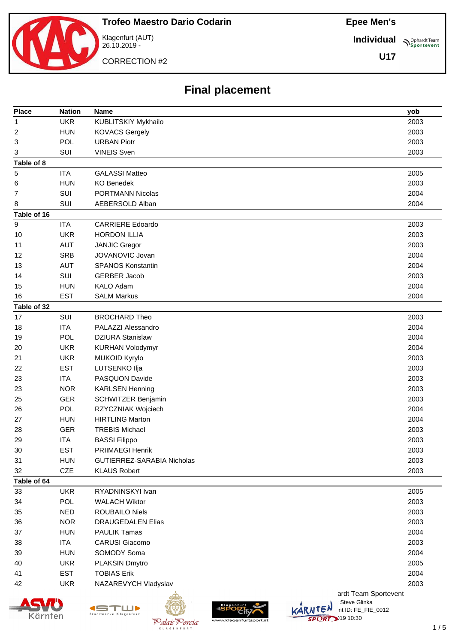

CORRECTION #2

26.10.2019 -

**Individual**

**Sportevent** 

**U17**

## **Final placement**

| <b>Place</b> | <b>Nation</b> | <b>Name</b>                                             | yob  |
|--------------|---------------|---------------------------------------------------------|------|
| 1            | <b>UKR</b>    | KUBLITSKIY Mykhailo                                     | 2003 |
| 2            | <b>HUN</b>    | <b>KOVACS Gergely</b>                                   | 2003 |
| 3            | POL           | <b>URBAN Piotr</b>                                      | 2003 |
| 3            | SUI           | <b>VINEIS Sven</b>                                      | 2003 |
| Table of 8   |               |                                                         |      |
| 5            | <b>ITA</b>    | <b>GALASSI Matteo</b>                                   | 2005 |
| 6            | <b>HUN</b>    | <b>KO Benedek</b>                                       | 2003 |
| 7            | SUI           | <b>PORTMANN Nicolas</b>                                 | 2004 |
| 8            | SUI           | AEBERSOLD Alban                                         | 2004 |
| Table of 16  |               |                                                         |      |
| 9            | <b>ITA</b>    | <b>CARRIERE Edoardo</b>                                 | 2003 |
| 10           | <b>UKR</b>    | <b>HORDON ILLIA</b>                                     | 2003 |
| 11           | <b>AUT</b>    | <b>JANJIC Gregor</b>                                    | 2003 |
| 12           | <b>SRB</b>    | JOVANOVIC Jovan                                         | 2004 |
| 13           | <b>AUT</b>    | <b>SPANOS Konstantin</b>                                | 2004 |
| 14           | SUI           | <b>GERBER Jacob</b>                                     | 2003 |
| 15           | <b>HUN</b>    | <b>KALO Adam</b>                                        | 2004 |
| 16           | <b>EST</b>    | <b>SALM Markus</b>                                      | 2004 |
| Table of 32  |               |                                                         |      |
| 17           | SUI           | <b>BROCHARD Theo</b>                                    | 2003 |
| 18           | <b>ITA</b>    | PALAZZI Alessandro                                      | 2004 |
| 19           | POL           | <b>DZIURA Stanislaw</b>                                 | 2004 |
| 20           | <b>UKR</b>    | <b>KURHAN Volodymyr</b>                                 | 2004 |
| 21           | <b>UKR</b>    | MUKOID Kyrylo                                           | 2003 |
| 22           | <b>EST</b>    | LUTSENKO Ilja                                           | 2003 |
| 23           | <b>ITA</b>    | PASQUON Davide                                          | 2003 |
| 23           | <b>NOR</b>    | <b>KARLSEN Henning</b>                                  | 2003 |
| 25           | <b>GER</b>    | SCHWITZER Benjamin                                      | 2003 |
| 26           | POL           | RZYCZNIAK Wojciech                                      | 2004 |
| 27           | <b>HUN</b>    | <b>HIRTLING Marton</b>                                  | 2004 |
| 28           | <b>GER</b>    | <b>TREBIS Michael</b>                                   | 2003 |
| 29           | <b>ITA</b>    | <b>BASSI Filippo</b>                                    | 2003 |
| 30           | <b>EST</b>    | PRIIMAEGI Henrik                                        | 2003 |
| 31           | <b>HUN</b>    | GUTIERREZ-SARABIA Nicholas                              | 2003 |
| 32           | <b>CZE</b>    | <b>KLAUS Robert</b>                                     | 2003 |
| Table of 64  |               |                                                         |      |
| 33           | <b>UKR</b>    | RYADNINSKYI Ivan                                        | 2005 |
| 34           | POL           | <b>WALACH Wiktor</b>                                    | 2003 |
| 35           | <b>NED</b>    | ROUBAILO Niels                                          | 2003 |
| 36           | <b>NOR</b>    | <b>DRAUGEDALEN Elias</b>                                | 2003 |
| 37           | <b>HUN</b>    | <b>PAULIK Tamas</b>                                     | 2004 |
| 38           | <b>ITA</b>    | <b>CARUSI Giacomo</b>                                   | 2003 |
| 39           | <b>HUN</b>    | SOMODY Soma                                             | 2004 |
| 40           | <b>UKR</b>    | PLAKSIN Dmytro                                          | 2005 |
| 41           | <b>EST</b>    | <b>TOBIAS Erik</b>                                      | 2004 |
| 42           | <b>UKR</b>    | NAZAREVYCH Vladyslav                                    | 2003 |
|              |               | ardt Team Sportevent<br>Steve Glinka                    |      |
|              |               | KARNTEN<br>int ID: FE_FIE_0012<br>Stadtwerke Klagenfurt |      |







 $\overline{ORT}$  10:30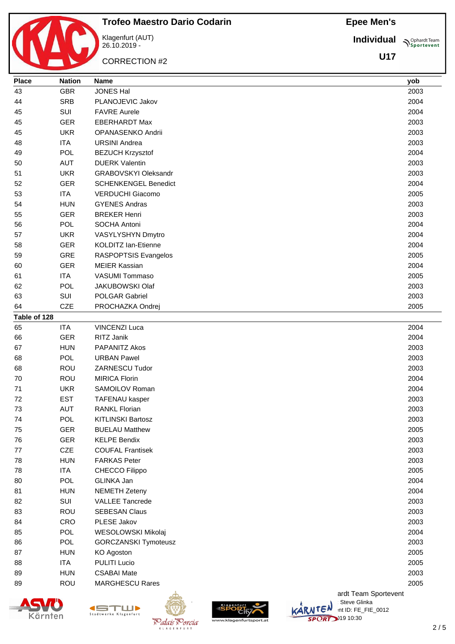**Individual**

**U17**

**Sportevent** 



Klagenfurt (AUT) 26.10.2019 - CORRECTION #2



**Place Nation Name yob** GBR JONES Hal 2003 SRB PLANOJEVIC Jakov 2004 SUI FAVRE Aurele 2004 GER EBERHARDT Max 2003 UKR OPANASENKO Andrii 2003

| oo | FUL        | URDAN PAWEI                 |            |         |                      | zuus |
|----|------------|-----------------------------|------------|---------|----------------------|------|
| 68 | ROU        | ZARNESCU Tudor              |            |         |                      | 2003 |
| 70 | <b>ROU</b> | <b>MIRICA Florin</b>        |            |         |                      | 2004 |
| 71 | <b>UKR</b> | SAMOILOV Roman              |            |         |                      | 2004 |
| 72 | <b>EST</b> | TAFENAU kasper              |            |         |                      | 2003 |
| 73 | <b>AUT</b> | <b>RANKL Florian</b>        |            |         |                      | 2003 |
| 74 | <b>POL</b> | <b>KITLINSKI Bartosz</b>    |            |         |                      | 2003 |
| 75 | <b>GER</b> | <b>BUELAU Matthew</b>       |            |         |                      | 2005 |
| 76 | <b>GER</b> | <b>KELPE Bendix</b>         |            |         |                      | 2003 |
| 77 | <b>CZE</b> | <b>COUFAL Frantisek</b>     |            |         |                      | 2003 |
| 78 | <b>HUN</b> | <b>FARKAS Peter</b>         |            |         |                      | 2003 |
| 78 | <b>ITA</b> | CHECCO Filippo              |            |         |                      | 2005 |
| 80 | <b>POL</b> | GLINKA Jan                  |            |         |                      | 2004 |
| 81 | <b>HUN</b> | <b>NEMETH Zeteny</b>        |            |         |                      | 2004 |
| 82 | SUI        | <b>VALLEE Tancrede</b>      |            |         |                      | 2003 |
| 83 | <b>ROU</b> | <b>SEBESAN Claus</b>        |            |         |                      | 2003 |
| 84 | <b>CRO</b> | PLESE Jakov                 |            |         |                      | 2003 |
| 85 | <b>POL</b> | WESOLOWSKI Mikolaj          |            |         |                      | 2004 |
| 86 | <b>POL</b> | <b>GORCZANSKI Tymoteusz</b> |            |         |                      | 2003 |
| 87 | <b>HUN</b> | KO Agoston                  |            |         |                      | 2005 |
| 88 | <b>ITA</b> | <b>PULITI Lucio</b>         |            |         |                      | 2005 |
| 89 | <b>HUN</b> | <b>CSABAI Mate</b>          |            |         |                      | 2003 |
| 89 | <b>ROU</b> | <b>MARGHESCU Rares</b>      |            |         |                      | 2005 |
|    |            |                             |            |         | ardt Team Sportevent |      |
|    |            |                             | Klagenfurt |         | Steve Glinka         |      |
|    | Kärnten    | Klagenfurt                  |            | KARNTEN | int ID: FE_FIE_0012  |      |





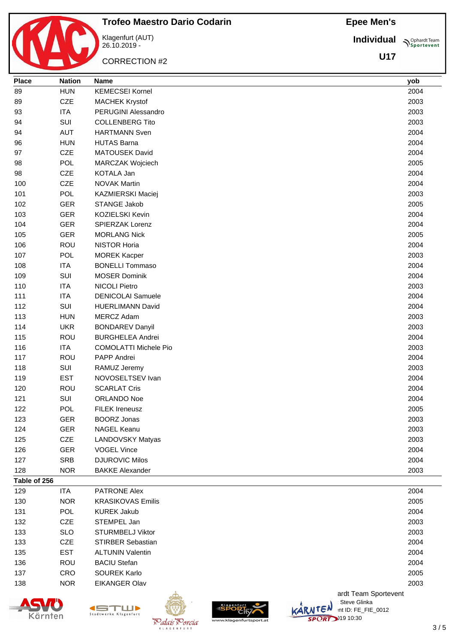**Individual Supplemant** Team

**U17**



# **Trofeo Maestro Dario Codarin**

Klagenfurt (AUT) 26.10.2019 -

CORRECTION #2

| <b>Place</b> | <b>Nation</b> | <b>Name</b>                  | yob  |
|--------------|---------------|------------------------------|------|
| 89           | <b>HUN</b>    | <b>KEMECSEI Kornel</b>       | 2004 |
| 89           | CZE           | <b>MACHEK Krystof</b>        | 2003 |
| 93           | <b>ITA</b>    | PERUGINI Alessandro          | 2003 |
| 94           | SUI           | <b>COLLENBERG Tito</b>       | 2003 |
| 94           | <b>AUT</b>    | <b>HARTMANN Sven</b>         | 2004 |
| 96           | <b>HUN</b>    | <b>HUTAS Barna</b>           | 2004 |
| 97           | CZE           | MATOUSEK David               | 2004 |
| 98           | <b>POL</b>    | MARCZAK Wojciech             | 2005 |
| 98           | <b>CZE</b>    | KOTALA Jan                   | 2004 |
| 100          | <b>CZE</b>    | <b>NOVAK Martin</b>          | 2004 |
| 101          | <b>POL</b>    | KAZMIERSKI Maciej            | 2003 |
| 102          | <b>GER</b>    | STANGE Jakob                 | 2005 |
| 103          | <b>GER</b>    | KOZIELSKI Kevin              | 2004 |
| 104          | <b>GER</b>    | SPIERZAK Lorenz              | 2004 |
| 105          | <b>GER</b>    | <b>MORLANG Nick</b>          | 2005 |
| 106          | <b>ROU</b>    | <b>NISTOR Horia</b>          | 2004 |
| 107          | <b>POL</b>    | <b>MOREK Kacper</b>          | 2003 |
| 108          | <b>ITA</b>    | <b>BONELLI Tommaso</b>       | 2004 |
| 109          | SUI           | <b>MOSER Dominik</b>         | 2004 |
| 110          | <b>ITA</b>    | <b>NICOLI Pietro</b>         | 2003 |
| 111          | <b>ITA</b>    | <b>DENICOLAI Samuele</b>     | 2004 |
| 112          | SUI           | <b>HUERLIMANN David</b>      | 2004 |
| 113          | <b>HUN</b>    | MERCZ Adam                   | 2003 |
| 114          | <b>UKR</b>    | <b>BONDAREV Danyil</b>       | 2003 |
| 115          | ROU           | <b>BURGHELEA Andrei</b>      | 2004 |
| 116          | <b>ITA</b>    | <b>COMOLATTI Michele Pio</b> | 2003 |
| 117          | ROU           | PAPP Andrei                  | 2004 |
| 118          | SUI           | RAMUZ Jeremy                 | 2003 |
| 119          | <b>EST</b>    | NOVOSELTSEV Ivan             | 2004 |
| 120          | <b>ROU</b>    | <b>SCARLAT Cris</b>          | 2004 |
| 121          | SUI           | <b>ORLANDO Noe</b>           | 2004 |
| 122          | <b>POL</b>    | <b>FILEK Ireneusz</b>        | 2005 |
| 123          | GER           | <b>BOORZ Jonas</b>           | 2003 |
| 124          | <b>GER</b>    | <b>NAGEL Keanu</b>           | 2003 |
| 125          | CZE           | LANDOVSKY Matyas             | 2003 |
| 126          | <b>GER</b>    | <b>VOGEL Vince</b>           | 2004 |
| 127          | <b>SRB</b>    | <b>DJUROVIC Milos</b>        | 2004 |
| 128          | <b>NOR</b>    | <b>BAKKE Alexander</b>       | 2003 |
| Table of 256 |               |                              |      |
| 129          | <b>ITA</b>    | PATRONE Alex                 | 2004 |
| 130          | <b>NOR</b>    | <b>KRASIKOVAS Emilis</b>     | 2005 |
| 131          | POL           | <b>KUREK Jakub</b>           | 2004 |
| 132          | <b>CZE</b>    | STEMPEL Jan                  | 2003 |
| 133          | <b>SLO</b>    | STURMBELJ Viktor             | 2003 |
| 133          | CZE           | <b>STIRBER Sebastian</b>     | 2004 |
| 135          | <b>EST</b>    | <b>ALTUNIN Valentin</b>      | 2004 |
| 136          | <b>ROU</b>    | <b>BACIU Stefan</b>          | 2004 |
| 137          | CRO           | SOUREK Karlo                 | 2005 |
| 138          | <b>NOR</b>    | <b>EIKANGER Olav</b>         | 2003 |





K L A G E N F





ardt Team Sportevent **License: Steve Glinka**  $\overline{\mathsf{L}}\mathsf{C}^{\mathsf{N}}$  int ID: FE\_FIE\_0012 **SPORT** 10:30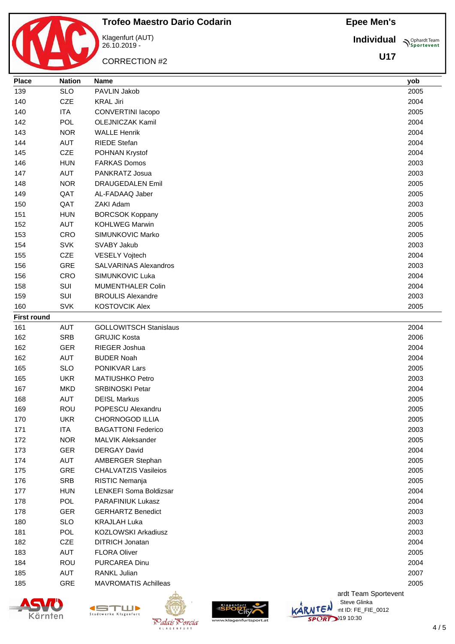**Individual Sportevent** 

**U17**



Klagenfurt (AUT) 26.10.2019 - CORRECTION #2

**Trofeo Maestro Dario Codarin**

| 139                | <b>SLO</b> | PAVLIN Jakob                  | 2005 |
|--------------------|------------|-------------------------------|------|
| 140                | CZE        | <b>KRAL Jiri</b>              | 2004 |
| 140                | <b>ITA</b> | CONVERTINI Iacopo             | 2005 |
| 142                | <b>POL</b> | <b>OLEJNICZAK Kamil</b>       | 2004 |
| 143                | <b>NOR</b> | <b>WALLE Henrik</b>           | 2004 |
| 144                | <b>AUT</b> | <b>RIEDE Stefan</b>           | 2004 |
| 145                | CZE        | POHNAN Krystof                | 2004 |
| 146                | <b>HUN</b> | <b>FARKAS Domos</b>           | 2003 |
| 147                | <b>AUT</b> | PANKRATZ Josua                | 2003 |
| 148                | <b>NOR</b> | <b>DRAUGEDALEN Emil</b>       | 2005 |
| 149                | QAT        | AL-FADAAQ Jaber               | 2005 |
| 150                | QAT        | ZAKI Adam                     | 2003 |
| 151                | <b>HUN</b> | <b>BORCSOK Koppany</b>        | 2005 |
| 152                | <b>AUT</b> | <b>KOHLWEG Marwin</b>         | 2005 |
| 153                | <b>CRO</b> | SIMUNKOVIC Marko              | 2005 |
| 154                | <b>SVK</b> | SVABY Jakub                   | 2003 |
| 155                | CZE        | <b>VESELY Vojtech</b>         | 2004 |
| 156                | <b>GRE</b> | <b>SALVARINAS Alexandros</b>  | 2003 |
| 156                | CRO        | SIMUNKOVIC Luka               | 2004 |
| 158                | SUI        | <b>MUMENTHALER Colin</b>      | 2004 |
| 159                | SUI        | <b>BROULIS Alexandre</b>      | 2003 |
| 160                | <b>SVK</b> | <b>KOSTOVCIK Alex</b>         | 2005 |
| <b>First round</b> |            |                               |      |
| 161                | <b>AUT</b> | <b>GOLLOWITSCH Stanislaus</b> | 2004 |
| 162                | <b>SRB</b> | <b>GRUJIC Kosta</b>           | 2006 |
| 162                | <b>GER</b> | RIEGER Joshua                 | 2004 |
| 162                | <b>AUT</b> | <b>BUDER Noah</b>             | 2004 |
| 165                | <b>SLO</b> | PONIKVAR Lars                 | 2005 |
| 165                | <b>UKR</b> | <b>MATIUSHKO Petro</b>        | 2003 |
| 167                | <b>MKD</b> | <b>SRBINOSKI Petar</b>        | 2004 |
| 168                | <b>AUT</b> | <b>DEISL Markus</b>           | 2005 |
| 169                | <b>ROU</b> | POPESCU Alexandru             | 2005 |
| 170                | <b>UKR</b> | <b>CHORNOGOD ILLIA</b>        | 2005 |
| 171                | <b>ITA</b> | <b>BAGATTONI Federico</b>     | 2003 |
| 172                | <b>NOR</b> | <b>MALVIK Aleksander</b>      | 2005 |
| 173                | <b>GER</b> | <b>DERGAY David</b>           | 2004 |
| 174                | AUT        | AMBERGER Stephan              | 2005 |
| 175                | GRE        | <b>CHALVATZIS Vasileios</b>   | 2005 |
| 176                | <b>SRB</b> | RISTIC Nemanja                | 2005 |
| 177                | <b>HUN</b> | LENKEFI Soma Boldizsar        | 2004 |
| 178                | POL        | PARAFINIUK Lukasz             | 2004 |
| 178                | <b>GER</b> | <b>GERHARTZ Benedict</b>      | 2003 |
| 180                | <b>SLO</b> | <b>KRAJLAH Luka</b>           | 2003 |
| 181                | <b>POL</b> | KOZLOWSKI Arkadiusz           | 2003 |
| 182                | CZE        | <b>DITRICH Jonatan</b>        | 2004 |
| 183                | <b>AUT</b> | <b>FLORA Oliver</b>           | 2005 |
| 184                | ROU        | <b>PURCAREA Dinu</b>          | 2004 |
| 185                | <b>AUT</b> | RANKL Julian                  | 2007 |
| 185                | GRE        | <b>MAVROMATIS Achilleas</b>   | 2005 |
|                    |            |                               |      |

**Place Nation Name yob**





 $K$  | A G F N F





ardt Team Sportevent<br>∷Steve Glinka **License: Steve Glinka**  $\overline{\mathsf{L}}\mathsf{C}^{\mathsf{N}}$  int ID: FE\_FIE\_0012 **SPORT** 10:30